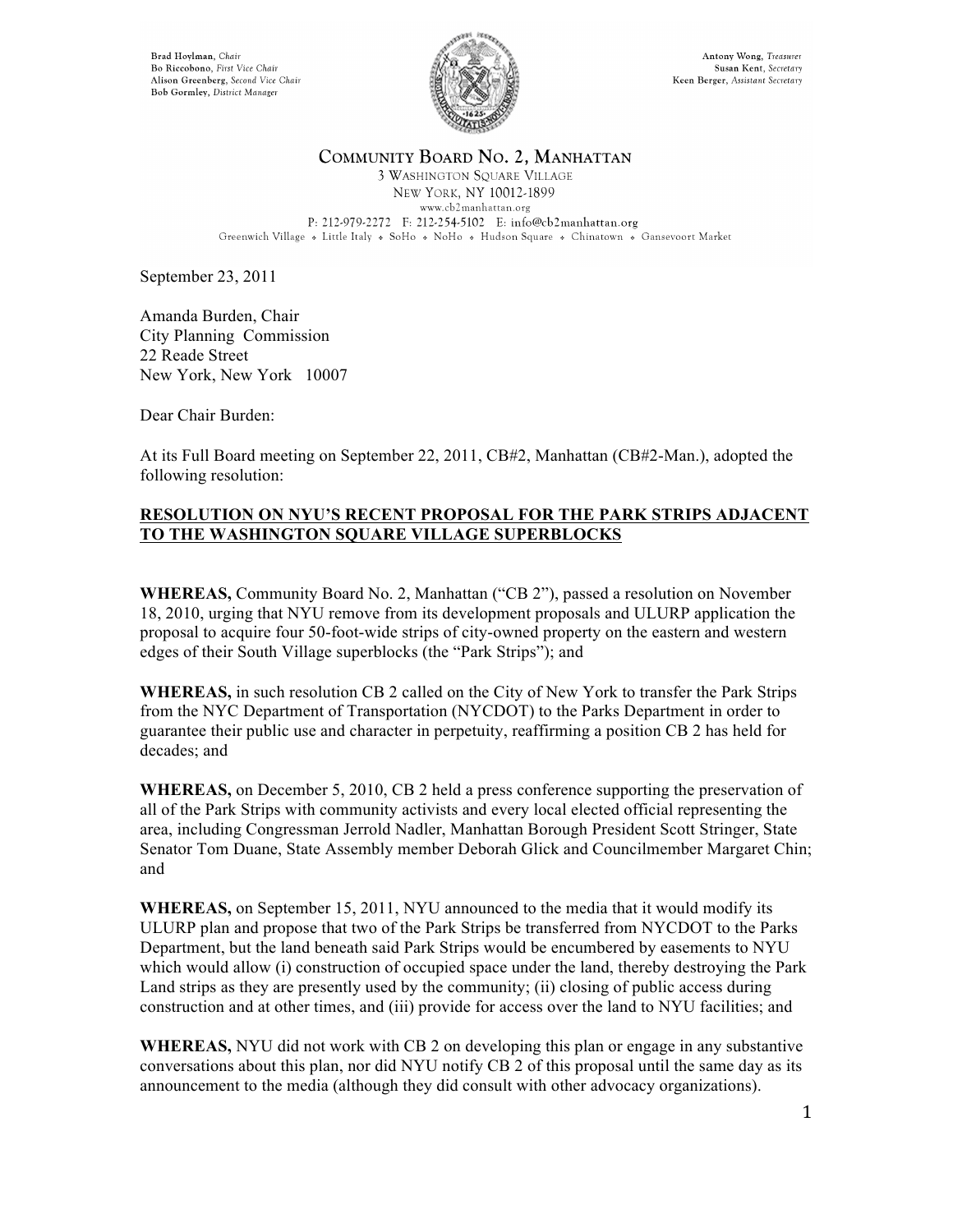Brad Hoylman, Chair Bo Riccobono, First Vice Chair Alison Greenberg, Second Vice Chair Bob Gormley, District Manager



## COMMUNITY BOARD NO. 2, MANHATTAN

**3 WASHINGTON SQUARE VILLAGE** NEW YORK, NY 10012-1899 www.cb2manhattan.org P: 212-979-2272 F: 212-254-5102 E: info@cb2manhattan.org Greenwich Village » Little Italy » SoHo » NoHo » Hudson Square » Chinatown » Gansevoort Market

September 23, 2011

Amanda Burden, Chair City Planning Commission 22 Reade Street New York, New York 10007

Dear Chair Burden:

At its Full Board meeting on September 22, 2011, CB#2, Manhattan (CB#2-Man.), adopted the following resolution:

## **RESOLUTION ON NYU'S RECENT PROPOSAL FOR THE PARK STRIPS ADJACENT TO THE WASHINGTON SQUARE VILLAGE SUPERBLOCKS**

**WHEREAS,** Community Board No. 2, Manhattan ("CB 2"), passed a resolution on November 18, 2010, urging that NYU remove from its development proposals and ULURP application the proposal to acquire four 50-foot-wide strips of city-owned property on the eastern and western edges of their South Village superblocks (the "Park Strips"); and

**WHEREAS,** in such resolution CB 2 called on the City of New York to transfer the Park Strips from the NYC Department of Transportation (NYCDOT) to the Parks Department in order to guarantee their public use and character in perpetuity, reaffirming a position CB 2 has held for decades; and

**WHEREAS,** on December 5, 2010, CB 2 held a press conference supporting the preservation of all of the Park Strips with community activists and every local elected official representing the area, including Congressman Jerrold Nadler, Manhattan Borough President Scott Stringer, State Senator Tom Duane, State Assembly member Deborah Glick and Councilmember Margaret Chin; and

**WHEREAS,** on September 15, 2011, NYU announced to the media that it would modify its ULURP plan and propose that two of the Park Strips be transferred from NYCDOT to the Parks Department, but the land beneath said Park Strips would be encumbered by easements to NYU which would allow (i) construction of occupied space under the land, thereby destroying the Park Land strips as they are presently used by the community; (ii) closing of public access during construction and at other times, and (iii) provide for access over the land to NYU facilities; and

**WHEREAS,** NYU did not work with CB 2 on developing this plan or engage in any substantive conversations about this plan, nor did NYU notify CB 2 of this proposal until the same day as its announcement to the media (although they did consult with other advocacy organizations).